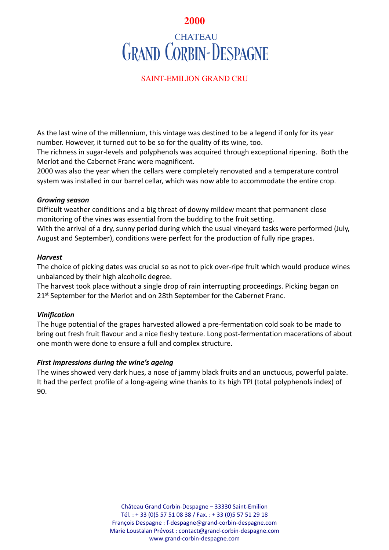# **2000**

# **CHATEAU GRAND CORBIN-DESPAGNE**

## SAINT-EMILION GRAND CRU

As the last wine of the millennium, this vintage was destined to be a legend if only for its year number. However, it turned out to be so for the quality of its wine, too.

The richness in sugar-levels and polyphenols was acquired through exceptional ripening. Both the Merlot and the Cabernet Franc were magnificent.

2000 was also the year when the cellars were completely renovated and a temperature control system was installed in our barrel cellar, which was now able to accommodate the entire crop.

### *Growing season*

Difficult weather conditions and a big threat of downy mildew meant that permanent close monitoring of the vines was essential from the budding to the fruit setting.

With the arrival of a dry, sunny period during which the usual vineyard tasks were performed (July, August and September), conditions were perfect for the production of fully ripe grapes.

### *Harvest*

The choice of picking dates was crucial so as not to pick over-ripe fruit which would produce wines unbalanced by their high alcoholic degree.

The harvest took place without a single drop of rain interrupting proceedings. Picking began on 21<sup>st</sup> September for the Merlot and on 28th September for the Cabernet Franc.

## *Vinification*

The huge potential of the grapes harvested allowed a pre-fermentation cold soak to be made to bring out fresh fruit flavour and a nice fleshy texture. Long post-fermentation macerations of about one month were done to ensure a full and complex structure.

## *First impressions during the wine's ageing*

The wines showed very dark hues, a nose of jammy black fruits and an unctuous, powerful palate. It had the perfect profile of a long-ageing wine thanks to its high TPI (total polyphenols index) of 90.